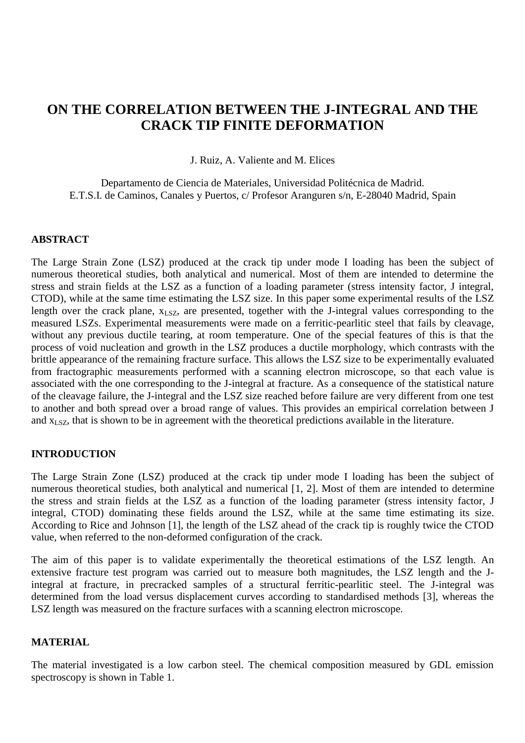# **ON THE CORRELATION BETWEEN THE J-INTEGRAL AND THE CRACK TIP FINITE DEFORMATION**

J. Ruiz, A. Valiente and M. Elices

Departamento de Ciencia de Materiales, Universidad Politécnica de Madrid. E.T.S.I. de Caminos, Canales y Puertos, c/ Profesor Aranguren s/n, E-28040 Madrid, Spain

### **ABSTRACT**

The Large Strain Zone (LSZ) produced at the crack tip under mode I loading has been the subject of numerous theoretical studies, both analytical and numerical. Most of them are intended to determine the stress and strain fields at the LSZ as a function of a loading parameter (stress intensity factor, J integral, CTOD), while at the same time estimating the LSZ size. In this paper some experimental results of the LSZ length over the crack plane,  $x_{LSZ}$ , are presented, together with the J-integral values corresponding to the measured LSZs. Experimental measurements were made on a ferritic-pearlitic steel that fails by cleavage, without any previous ductile tearing, at room temperature. One of the special features of this is that the process of void nucleation and growth in the LSZ produces a ductile morphology, which contrasts with the brittle appearance of the remaining fracture surface. This allows the LSZ size to be experimentally evaluated from fractographic measurements performed with a scanning electron microscope, so that each value is associated with the one corresponding to the J-integral at fracture. As a consequence of the statistical nature of the cleavage failure, the J-integral and the LSZ size reached before failure are very different from one test to another and both spread over a broad range of values. This provides an empirical correlation between J and  $x_{LSZ}$ , that is shown to be in agreement with the theoretical predictions available in the literature.

### **INTRODUCTION**

The Large Strain Zone (LSZ) produced at the crack tip under mode I loading has been the subject of numerous theoretical studies, both analytical and numerical [1, 2]. Most of them are intended to determine the stress and strain fields at the LSZ as a function of the loading parameter (stress intensity factor, J integral, CTOD) dominating these fields around the LSZ, while at the same time estimating its size. According to Rice and Johnson [1], the length of the LSZ ahead of the crack tip is roughly twice the CTOD value, when referred to the non-deformed configuration of the crack.

The aim of this paper is to validate experimentally the theoretical estimations of the LSZ length. An extensive fracture test program was carried out to measure both magnitudes, the LSZ length and the Jintegral at fracture, in precracked samples of a structural ferritic-pearlitic steel. The J-integral was determined from the load versus displacement curves according to standardised methods [3], whereas the LSZ length was measured on the fracture surfaces with a scanning electron microscope.

## **MATERIAL**

The material investigated is a low carbon steel. The chemical composition measured by GDL emission spectroscopy is shown in Table 1.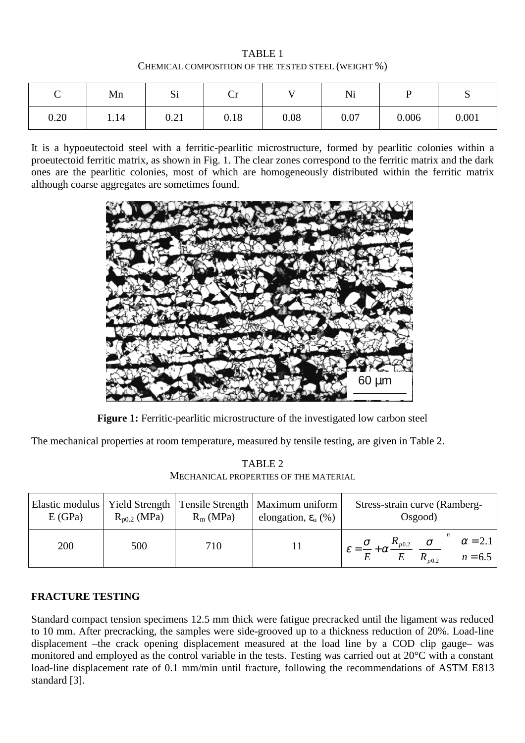TABLE 1 CHEMICAL COMPOSITION OF THE TESTED STEEL (WEIGHT %)

| ⌒<br>◡ | Mn   | $\sim$<br>ΩT                | ⌒<br>◡ |      | Ni   |       | ັ     |  |
|--------|------|-----------------------------|--------|------|------|-------|-------|--|
| 0.20   | 1.14 | $\Omega$ $\Omega$ 1<br>0.21 | 0.18   | 0.08 | 0.07 | 0.006 | 0.001 |  |

It is a hypoeutectoid steel with a ferritic-pearlitic microstructure, formed by pearlitic colonies within a proeutectoid ferritic matrix, as shown in Fig. 1. The clear zones correspond to the ferritic matrix and the dark ones are the pearlitic colonies, most of which are homogeneously distributed within the ferritic matrix although coarse aggregates are sometimes found.



**Figure 1:** Ferritic-pearlitic microstructure of the investigated low carbon steel

The mechanical properties at room temperature, measured by tensile testing, are given in Table 2.

TABLE 2 MECHANICAL PROPERTIES OF THE MATERIAL

| E(GPa) | $R_{p0.2}$ (MPa) | $R_m(MPa)$ | Elastic modulus   Yield Strength   Tensile Strength   Maximum uniform  <br>elongation, $\varepsilon$ <sub>u</sub> $(\%)$ | Stress-strain curve (Ramberg-<br>Osgood)                                                                                           |  |  |  |  |
|--------|------------------|------------|--------------------------------------------------------------------------------------------------------------------------|------------------------------------------------------------------------------------------------------------------------------------|--|--|--|--|
| 200    | 500              | 710        |                                                                                                                          | $\alpha = 2.1$<br>$\mathcal{E} = \frac{\sigma}{E} + \alpha \frac{R_{p0.2}}{E} \left( \frac{\sigma}{R_{p0.2}} \right)$<br>$n = 6.5$ |  |  |  |  |

## **FRACTURE TESTING**

Standard compact tension specimens 12.5 mm thick were fatigue precracked until the ligament was reduced to 10 mm. After precracking, the samples were side-grooved up to a thickness reduction of 20%. Load-line displacement –the crack opening displacement measured at the load line by a COD clip gauge– was monitored and employed as the control variable in the tests. Testing was carried out at 20°C with a constant load-line displacement rate of 0.1 mm/min until fracture, following the recommendations of ASTM E813 standard [3].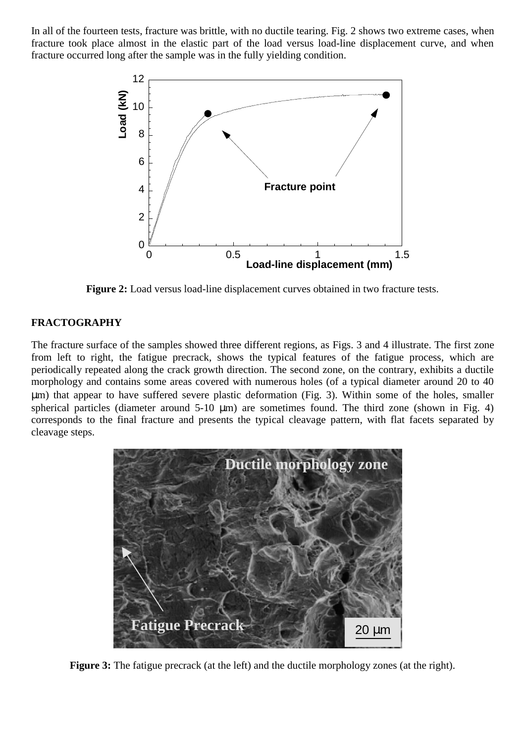In all of the fourteen tests, fracture was brittle, with no ductile tearing. Fig. 2 shows two extreme cases, when fracture took place almost in the elastic part of the load versus load-line displacement curve, and when fracture occurred long after the sample was in the fully yielding condition.



**Figure 2:** Load versus load-line displacement curves obtained in two fracture tests.

### **FRACTOGRAPHY**

The fracture surface of the samples showed three different regions, as Figs. 3 and 4 illustrate. The first zone from left to right, the fatigue precrack, shows the typical features of the fatigue process, which are periodically repeated along the crack growth direction. The second zone, on the contrary, exhibits a ductile morphology and contains some areas covered with numerous holes (of a typical diameter around 20 to 40 µm) that appear to have suffered severe plastic deformation (Fig. 3). Within some of the holes, smaller spherical particles (diameter around  $5-10 \mu m$ ) are sometimes found. The third zone (shown in Fig. 4) corresponds to the final fracture and presents the typical cleavage pattern, with flat facets separated by cleavage steps.



**Figure 3:** The fatigue precrack (at the left) and the ductile morphology zones (at the right).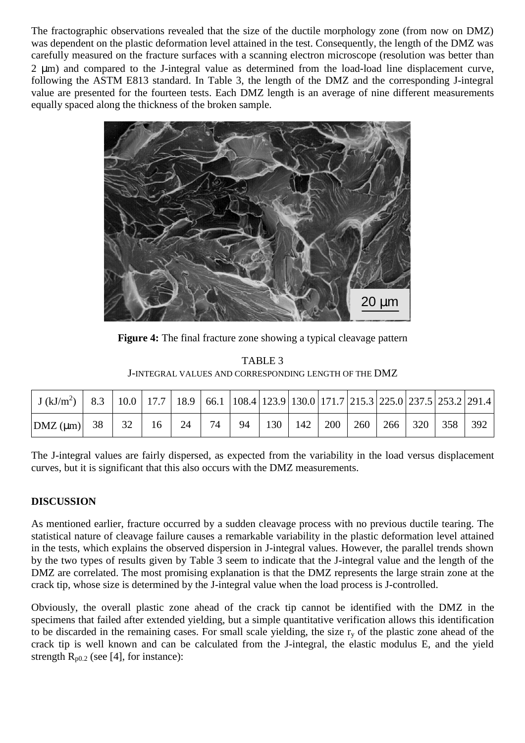The fractographic observations revealed that the size of the ductile morphology zone (from now on DMZ) was dependent on the plastic deformation level attained in the test. Consequently, the length of the DMZ was carefully measured on the fracture surfaces with a scanning electron microscope (resolution was better than 2 µm) and compared to the J-integral value as determined from the load-load line displacement curve, following the ASTM E813 standard. In Table 3, the length of the DMZ and the corresponding J-integral value are presented for the fourteen tests. Each DMZ length is an average of nine different measurements equally spaced along the thickness of the broken sample.



**Figure 4:** The final fracture zone showing a typical cleavage pattern

| TABLE 3                                               |
|-------------------------------------------------------|
| J-INTEGRAL VALUES AND CORRESPONDING LENGTH OF THE DMZ |

| $\mid$ J (kJ/m <sup>2</sup> )   8.3   10.0   17.7   18.9   66.1   108.4   123.9   130.0   171.7   215.3   225.0   237.5   253.2   291.4 |    |    |        |    |    |    |                     |     |     |  |                 |     |     |
|-----------------------------------------------------------------------------------------------------------------------------------------|----|----|--------|----|----|----|---------------------|-----|-----|--|-----------------|-----|-----|
| DMZ (µm)                                                                                                                                | 38 | 32 | $16-1$ | 24 | 74 | 94 | $\vert$ 130 $\vert$ | 142 | 200 |  | 260   266   320 | 358 | 392 |

The J-integral values are fairly dispersed, as expected from the variability in the load versus displacement curves, but it is significant that this also occurs with the DMZ measurements.

# **DISCUSSION**

As mentioned earlier, fracture occurred by a sudden cleavage process with no previous ductile tearing. The statistical nature of cleavage failure causes a remarkable variability in the plastic deformation level attained in the tests, which explains the observed dispersion in J-integral values. However, the parallel trends shown by the two types of results given by Table 3 seem to indicate that the J-integral value and the length of the DMZ are correlated. The most promising explanation is that the DMZ represents the large strain zone at the crack tip, whose size is determined by the J-integral value when the load process is J-controlled.

Obviously, the overall plastic zone ahead of the crack tip cannot be identified with the DMZ in the specimens that failed after extended yielding, but a simple quantitative verification allows this identification to be discarded in the remaining cases. For small scale yielding, the size  $r_y$  of the plastic zone ahead of the crack tip is well known and can be calculated from the J-integral, the elastic modulus E, and the yield strength  $R_{p0.2}$  (see [4], for instance):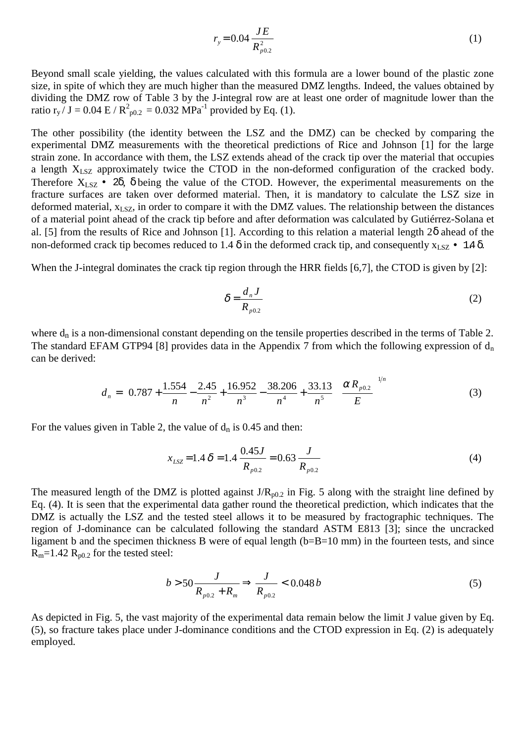$$
r_{y} = 0.04 \frac{JE}{R_{p0.2}^{2}}
$$
 (1)

Beyond small scale yielding, the values calculated with this formula are a lower bound of the plastic zone size, in spite of which they are much higher than the measured DMZ lengths. Indeed, the values obtained by dividing the DMZ row of Table 3 by the J-integral row are at least one order of magnitude lower than the ratio  $r_y / J = 0.04 \text{ E} / \text{R}^2_{p0.2} = 0.032 \text{ MPa}^{-1}$  provided by Eq. (1).

The other possibility (the identity between the LSZ and the DMZ) can be checked by comparing the experimental DMZ measurements with the theoretical predictions of Rice and Johnson [1] for the large strain zone. In accordance with them, the LSZ extends ahead of the crack tip over the material that occupies a length  $X_{LSZ}$  approximately twice the CTOD in the non-deformed configuration of the cracked body. Therefore  $X_{LSZ}$  • 2 $\delta$ ,  $\delta$  being the value of the CTOD. However, the experimental measurements on the fracture surfaces are taken over deformed material. Then, it is mandatory to calculate the LSZ size in deformed material,  $x_{LSZ}$ , in order to compare it with the DMZ values. The relationship between the distances of a material point ahead of the crack tip before and after deformation was calculated by Gutiérrez-Solana et al. [5] from the results of Rice and Johnson [1]. According to this relation a material length 2δ ahead of the non-deformed crack tip becomes reduced to 1.4  $\delta$  in the deformed crack tip, and consequently  $x_{LSZ}$  • 1.4  $\delta$ .

When the J-integral dominates the crack tip region through the HRR fields [6,7], the CTOD is given by [2]:

$$
\delta = \frac{d_n J}{R_{p0.2}}\tag{2}
$$

 $\overline{11}$ 

where  $d_n$  is a non-dimensional constant depending on the tensile properties described in the terms of Table 2. The standard EFAM GTP94 [8] provides data in the Appendix 7 from which the following expression of  $d_n$ can be derived:

$$
d_n = \left(0.787 + \frac{1.554}{n} - \frac{2.45}{n^2} + \frac{16.952}{n^3} - \frac{38.206}{n^4} + \frac{33.13}{n^5} \left(\frac{\alpha R_{p0.2}}{E}\right)^{1/n} \tag{3}
$$

For the values given in Table 2, the value of  $d_n$  is 0.45 and then:

$$
x_{LSZ} = 1.4 \delta = 1.4 \frac{0.45J}{R_{p0.2}} = 0.63 \frac{J}{R_{p0.2}}
$$
(4)

The measured length of the DMZ is plotted against  $J/R_{p0.2}$  in Fig. 5 along with the straight line defined by Eq. (4). It is seen that the experimental data gather round the theoretical prediction, which indicates that the DMZ is actually the LSZ and the tested steel allows it to be measured by fractographic techniques. The region of J-dominance can be calculated following the standard ASTM E813 [3]; since the uncracked ligament b and the specimen thickness B were of equal length (b=B=10 mm) in the fourteen tests, and since  $R_m$ =1.42  $R_{p0.2}$  for the tested steel:

$$
b > 50 \frac{J}{R_{p0.2} + R_m} \Rightarrow \frac{J}{R_{p0.2}} < 0.048 b
$$
 (5)

As depicted in Fig. 5, the vast majority of the experimental data remain below the limit J value given by Eq. (5), so fracture takes place under J-dominance conditions and the CTOD expression in Eq. (2) is adequately employed.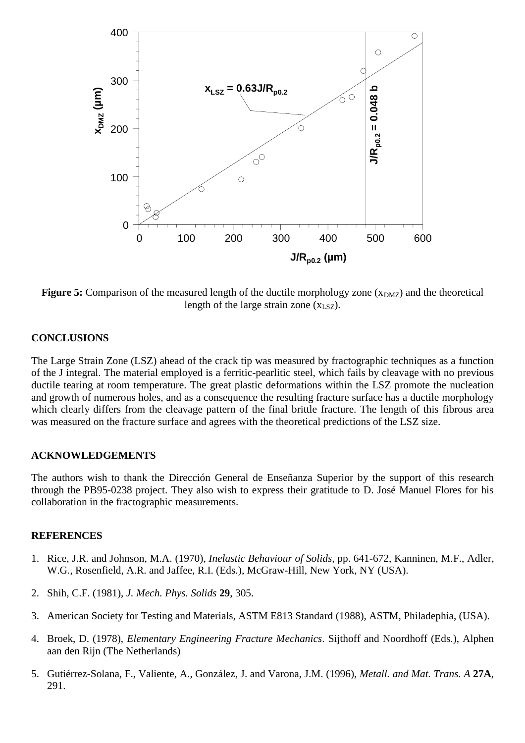

**Figure 5:** Comparison of the measured length of the ductile morphology zone ( $x_{DMZ}$ ) and the theoretical length of the large strain zone  $(x_{LSZ})$ .

#### **CONCLUSIONS**

The Large Strain Zone (LSZ) ahead of the crack tip was measured by fractographic techniques as a function of the J integral. The material employed is a ferritic-pearlitic steel, which fails by cleavage with no previous ductile tearing at room temperature. The great plastic deformations within the LSZ promote the nucleation and growth of numerous holes, and as a consequence the resulting fracture surface has a ductile morphology which clearly differs from the cleavage pattern of the final brittle fracture. The length of this fibrous area was measured on the fracture surface and agrees with the theoretical predictions of the LSZ size.

#### **ACKNOWLEDGEMENTS**

The authors wish to thank the Dirección General de Enseñanza Superior by the support of this research through the PB95-0238 project. They also wish to express their gratitude to D. José Manuel Flores for his collaboration in the fractographic measurements.

#### **REFERENCES**

- 1. Rice, J.R. and Johnson, M.A. (1970), *Inelastic Behaviour of Solids,* pp. 641-672, Kanninen, M.F., Adler, W.G., Rosenfield, A.R. and Jaffee, R.I. (Eds.), McGraw-Hill, New York, NY (USA).
- 2. Shih, C.F. (1981), *J. Mech. Phys. Solids* **29**, 305.
- 3. American Society for Testing and Materials, ASTM E813 Standard (1988), ASTM, Philadephia, (USA).
- 4. Broek, D. (1978), *Elementary Engineering Fracture Mechanics*. Sijthoff and Noordhoff (Eds.), Alphen aan den Rijn (The Netherlands)
- 5. Gutiérrez-Solana, F., Valiente, A., González, J. and Varona, J.M. (1996), *Metall. and Mat. Trans. A* **27A**, 291.